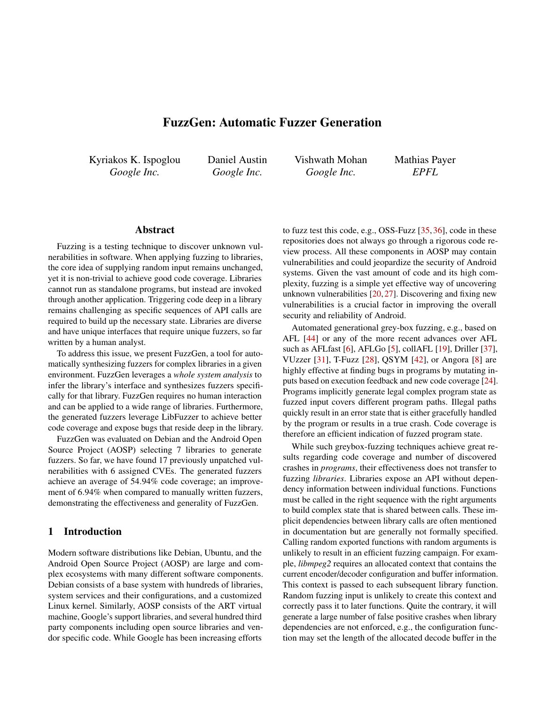# FuzzGen: Automatic Fuzzer Generation

Kyriakos K. Ispoglou *Google Inc.*

Daniel Austin *Google Inc.*

Vishwath Mohan *Google Inc.*

Mathias Payer *EPFL*

### Abstract

Fuzzing is a testing technique to discover unknown vulnerabilities in software. When applying fuzzing to libraries, the core idea of supplying random input remains unchanged, yet it is non-trivial to achieve good code coverage. Libraries cannot run as standalone programs, but instead are invoked through another application. Triggering code deep in a library remains challenging as specific sequences of API calls are required to build up the necessary state. Libraries are diverse and have unique interfaces that require unique fuzzers, so far written by a human analyst.

To address this issue, we present FuzzGen, a tool for automatically synthesizing fuzzers for complex libraries in a given environment. FuzzGen leverages a *whole system analysis* to infer the library's interface and synthesizes fuzzers specifically for that library. FuzzGen requires no human interaction and can be applied to a wide range of libraries. Furthermore, the generated fuzzers leverage LibFuzzer to achieve better code coverage and expose bugs that reside deep in the library.

FuzzGen was evaluated on Debian and the Android Open Source Project (AOSP) selecting 7 libraries to generate fuzzers. So far, we have found 17 previously unpatched vulnerabilities with 6 assigned CVEs. The generated fuzzers achieve an average of 54.94% code coverage; an improvement of 6.94% when compared to manually written fuzzers, demonstrating the effectiveness and generality of FuzzGen.

#### <span id="page-0-0"></span>1 Introduction

Modern software distributions like Debian, Ubuntu, and the Android Open Source Project (AOSP) are large and complex ecosystems with many different software components. Debian consists of a base system with hundreds of libraries, system services and their configurations, and a customized Linux kernel. Similarly, AOSP consists of the ART virtual machine, Google's support libraries, and several hundred third party components including open source libraries and vendor specific code. While Google has been increasing efforts

to fuzz test this code, e.g., OSS-Fuzz [\[35,](#page-14-0) [36\]](#page-14-1), code in these repositories does not always go through a rigorous code review process. All these components in AOSP may contain vulnerabilities and could jeopardize the security of Android systems. Given the vast amount of code and its high complexity, fuzzing is a simple yet effective way of uncovering unknown vulnerabilities [\[20,](#page-13-0) [27\]](#page-14-2). Discovering and fixing new vulnerabilities is a crucial factor in improving the overall security and reliability of Android.

Automated generational grey-box fuzzing, e.g., based on AFL [\[44\]](#page-14-3) or any of the more recent advances over AFL such as AFLfast [\[6\]](#page-13-1), AFLGo [\[5\]](#page-13-2), collAFL [\[19\]](#page-13-3), Driller [\[37\]](#page-14-4), VUzzer [\[31\]](#page-14-5), T-Fuzz [\[28\]](#page-14-6), QSYM [\[42\]](#page-14-7), or Angora [\[8\]](#page-13-4) are highly effective at finding bugs in programs by mutating inputs based on execution feedback and new code coverage [\[24\]](#page-13-5). Programs implicitly generate legal complex program state as fuzzed input covers different program paths. Illegal paths quickly result in an error state that is either gracefully handled by the program or results in a true crash. Code coverage is therefore an efficient indication of fuzzed program state.

While such greybox-fuzzing techniques achieve great results regarding code coverage and number of discovered crashes in *programs*, their effectiveness does not transfer to fuzzing *libraries*. Libraries expose an API without dependency information between individual functions. Functions must be called in the right sequence with the right arguments to build complex state that is shared between calls. These implicit dependencies between library calls are often mentioned in documentation but are generally not formally specified. Calling random exported functions with random arguments is unlikely to result in an efficient fuzzing campaign. For example, *libmpeg2* requires an allocated context that contains the current encoder/decoder configuration and buffer information. This context is passed to each subsequent library function. Random fuzzing input is unlikely to create this context and correctly pass it to later functions. Quite the contrary, it will generate a large number of false positive crashes when library dependencies are not enforced, e.g., the configuration function may set the length of the allocated decode buffer in the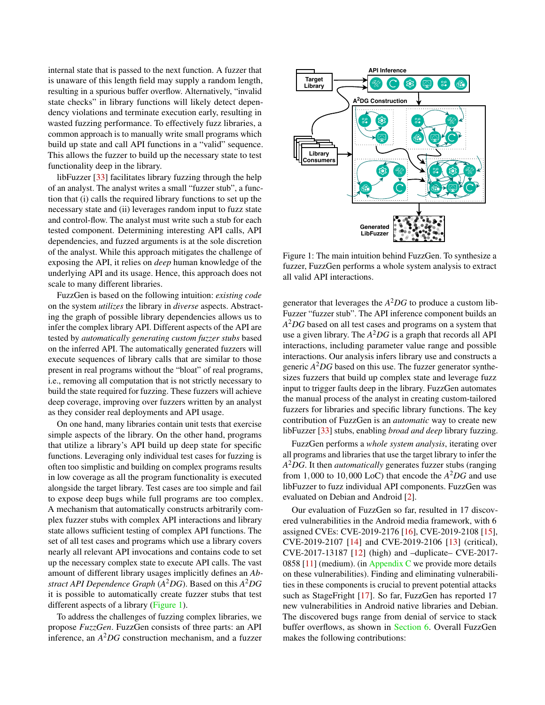internal state that is passed to the next function. A fuzzer that is unaware of this length field may supply a random length, resulting in a spurious buffer overflow. Alternatively, "invalid state checks" in library functions will likely detect dependency violations and terminate execution early, resulting in wasted fuzzing performance. To effectively fuzz libraries, a common approach is to manually write small programs which build up state and call API functions in a "valid" sequence. This allows the fuzzer to build up the necessary state to test functionality deep in the library.

libFuzzer [\[33\]](#page-14-8) facilitates library fuzzing through the help of an analyst. The analyst writes a small "fuzzer stub", a function that (i) calls the required library functions to set up the necessary state and (ii) leverages random input to fuzz state and control-flow. The analyst must write such a stub for each tested component. Determining interesting API calls, API dependencies, and fuzzed arguments is at the sole discretion of the analyst. While this approach mitigates the challenge of exposing the API, it relies on *deep* human knowledge of the underlying API and its usage. Hence, this approach does not scale to many different libraries.

FuzzGen is based on the following intuition: *existing code* on the system *utilizes* the library in *diverse* aspects. Abstracting the graph of possible library dependencies allows us to infer the complex library API. Different aspects of the API are tested by *automatically generating custom fuzzer stubs* based on the inferred API. The automatically generated fuzzers will execute sequences of library calls that are similar to those present in real programs without the "bloat" of real programs, i.e., removing all computation that is not strictly necessary to build the state required for fuzzing. These fuzzers will achieve deep coverage, improving over fuzzers written by an analyst as they consider real deployments and API usage.

On one hand, many libraries contain unit tests that exercise simple aspects of the library. On the other hand, programs that utilize a library's API build up deep state for specific functions. Leveraging only individual test cases for fuzzing is often too simplistic and building on complex programs results in low coverage as all the program functionality is executed alongside the target library. Test cases are too simple and fail to expose deep bugs while full programs are too complex. A mechanism that automatically constructs arbitrarily complex fuzzer stubs with complex API interactions and library state allows sufficient testing of complex API functions. The set of all test cases and programs which use a library covers nearly all relevant API invocations and contains code to set up the necessary complex state to execute API calls. The vast amount of different library usages implicitly defines an *Abstract API Dependence Graph* (*A* <sup>2</sup>*DG*). Based on this *A* <sup>2</sup>*DG* it is possible to automatically create fuzzer stubs that test different aspects of a library [\(Figure 1\)](#page-1-0).

To address the challenges of fuzzing complex libraries, we propose *FuzzGen*. FuzzGen consists of three parts: an API inference, an *A* <sup>2</sup>*DG* construction mechanism, and a fuzzer

<span id="page-1-0"></span>

Figure 1: The main intuition behind FuzzGen. To synthesize a fuzzer, FuzzGen performs a whole system analysis to extract all valid API interactions.

generator that leverages the *A* <sup>2</sup>*DG* to produce a custom lib-Fuzzer "fuzzer stub". The API inference component builds an *A* <sup>2</sup>*DG* based on all test cases and programs on a system that use a given library. The *A* <sup>2</sup>*DG* is a graph that records all API interactions, including parameter value range and possible interactions. Our analysis infers library use and constructs a generic *A* <sup>2</sup>*DG* based on this use. The fuzzer generator synthesizes fuzzers that build up complex state and leverage fuzz input to trigger faults deep in the library. FuzzGen automates the manual process of the analyst in creating custom-tailored fuzzers for libraries and specific library functions. The key contribution of FuzzGen is an *automatic* way to create new libFuzzer [\[33\]](#page-14-8) stubs, enabling *broad and deep* library fuzzing.

FuzzGen performs a *whole system analysis*, iterating over all programs and libraries that use the target library to infer the *A* <sup>2</sup>*DG*. It then *automatically* generates fuzzer stubs (ranging from 1,000 to 10,000 LoC) that encode the *A* <sup>2</sup>*DG* and use libFuzzer to fuzz individual API components. FuzzGen was evaluated on Debian and Android [\[2\]](#page-13-6).

Our evaluation of FuzzGen so far, resulted in 17 discovered vulnerabilities in the Android media framework, with 6 assigned CVEs: CVE-2019-2176 [\[16\]](#page-13-7), CVE-2019-2108 [\[15\]](#page-13-8), CVE-2019-2107 [\[14\]](#page-13-9) and CVE-2019-2106 [\[13\]](#page-13-10) (critical), CVE-2017-13187 [\[12\]](#page-13-11) (high) and –duplicate– CVE-2017- 0858  $[11]$  (medium). (in [Appendix C](#page-15-0) we provide more details on these vulnerabilities). Finding and eliminating vulnerabilities in these components is crucial to prevent potential attacks such as StageFright [\[17\]](#page-13-13). So far, FuzzGen has reported 17 new vulnerabilities in Android native libraries and Debian. The discovered bugs range from denial of service to stack buffer overflows, as shown in [Section 6.](#page-9-0) Overall FuzzGen makes the following contributions: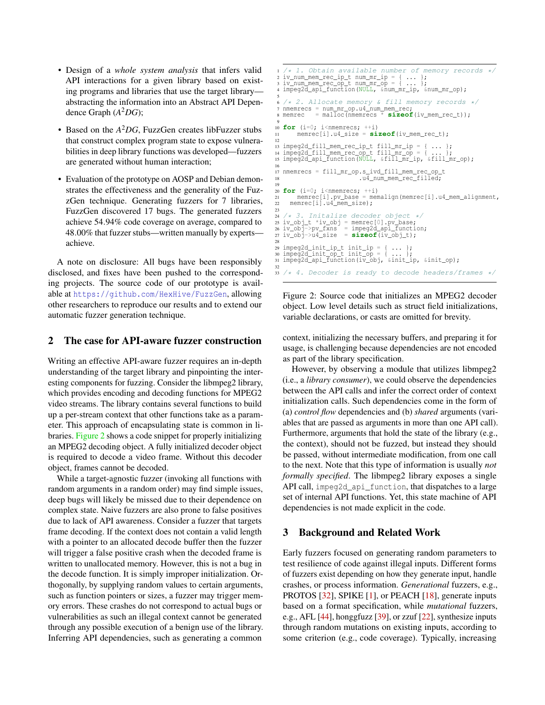- Design of a *whole system analysis* that infers valid API interactions for a given library based on existing programs and libraries that use the target library abstracting the information into an Abstract API Dependence Graph (*A* <sup>2</sup>*DG*);
- Based on the *A* <sup>2</sup>*DG*, FuzzGen creates libFuzzer stubs that construct complex program state to expose vulnerabilities in deep library functions was developed—fuzzers are generated without human interaction;
- Evaluation of the prototype on AOSP and Debian demonstrates the effectiveness and the generality of the FuzzGen technique. Generating fuzzers for 7 libraries, FuzzGen discovered 17 bugs. The generated fuzzers achieve 54.94% code coverage on average, compared to 48.00% that fuzzer stubs—written manually by experts achieve.

A note on disclosure: All bugs have been responsibly disclosed, and fixes have been pushed to the corresponding projects. The source code of our prototype is available at <https://github.com/HexHive/FuzzGen>, allowing other researchers to reproduce our results and to extend our automatic fuzzer generation technique.

#### <span id="page-2-1"></span>2 The case for API-aware fuzzer construction

Writing an effective API-aware fuzzer requires an in-depth understanding of the target library and pinpointing the interesting components for fuzzing. Consider the libmpeg2 library, which provides encoding and decoding functions for MPEG2 video streams. The library contains several functions to build up a per-stream context that other functions take as a parameter. This approach of encapsulating state is common in libraries. [Figure 2](#page-2-0) shows a code snippet for properly initializing an MPEG2 decoding object. A fully initialized decoder object is required to decode a video frame. Without this decoder object, frames cannot be decoded.

While a target-agnostic fuzzer (invoking all functions with random arguments in a random order) may find simple issues, deep bugs will likely be missed due to their dependence on complex state. Naive fuzzers are also prone to false positives due to lack of API awareness. Consider a fuzzer that targets frame decoding. If the context does not contain a valid length with a pointer to an allocated decode buffer then the fuzzer will trigger a false positive crash when the decoded frame is written to unallocated memory. However, this is not a bug in the decode function. It is simply improper initialization. Orthogonally, by supplying random values to certain arguments, such as function pointers or sizes, a fuzzer may trigger memory errors. These crashes do not correspond to actual bugs or vulnerabilities as such an illegal context cannot be generated through any possible execution of a benign use of the library. Inferring API dependencies, such as generating a common

```
4. Obtain available number of memory records */
 2 iv_num_mem_rec_ip_t num_mr_ip = { ... };
3 iv_num_mem_rec_op_t num_mr_op = { ... };
4 impeg2d_api_function(NULL, &num_mr_ip, &num_mr_op);
 5
   /* 2. Allocate memory & fill memory records */7 nmemrecs = num_mr_op.u4_num_mem_rec;
8 memrec = malloc(nmemrecs * sizeof(iv_mem_rec_t));
9
10 for (i=0; i<nmemrecs; ++i)
          11 memrec[i].u4_size = sizeof(iv_mem_rec_t);
12
13 impeg2d_fill_mem_rec_ip_t fill_mr_ip = { ... };
14 impeg2d_fill_mem_rec_op_t fill_mr_op = { ... };
15 impeg2d_api_function(NULL, &fill_mr_ip, &fill_mr_op);
\frac{16}{17}17 nmemrecs = fill_mr_op.s_ivd_fill_mem_rec_op_t<br>18<br>118d;
18 .u4_num_mem_rec_filled;
<sup>19</sup><br>20 for (i=0; i<nmemrecs; ++i)<br>21 memrec[i].pv_base = memalign(memrec[i].u4_mem_alignment,
22 memrec[i].u4_mem_size);
2324 /* 3. Initalize decoder object */
25 iv_obj_t *iv_obj = memrec[0].pv_base;
26 iv_obj->pv_fxns = impeg2d_api_function;
27 iv_obj->u4_size = sizeof(iv_obj_t);
2829 impeg2d_init_ip_t init_ip = { \ldots };<br>30 impeg2d_init_op_t init_op = { \ldots };
31 impeg2d_api_function(iv_obj, &init_ip, &init_op);
32
   /* 4. Decoder is ready to decode headers/frames */
```
Figure 2: Source code that initializes an MPEG2 decoder object. Low level details such as struct field initializations, variable declarations, or casts are omitted for brevity.

context, initializing the necessary buffers, and preparing it for usage, is challenging because dependencies are not encoded as part of the library specification.

However, by observing a module that utilizes libmpeg2 (i.e., a *library consumer*), we could observe the dependencies between the API calls and infer the correct order of context initialization calls. Such dependencies come in the form of (a) *control flow* dependencies and (b) *shared* arguments (variables that are passed as arguments in more than one API call). Furthermore, arguments that hold the state of the library (e.g., the context), should not be fuzzed, but instead they should be passed, without intermediate modification, from one call to the next. Note that this type of information is usually *not formally specified*. The libmpeg2 library exposes a single API call, impeg2d api function, that dispatches to a large set of internal API functions. Yet, this state machine of API dependencies is not made explicit in the code.

#### 3 Background and Related Work

Early fuzzers focused on generating random parameters to test resilience of code against illegal inputs. Different forms of fuzzers exist depending on how they generate input, handle crashes, or process information. *Generational* fuzzers, e.g., PROTOS [\[32\]](#page-14-9), SPIKE [\[1\]](#page-13-14), or PEACH [\[18\]](#page-13-15), generate inputs based on a format specification, while *mutational* fuzzers, e.g., AFL [\[44\]](#page-14-3), honggfuzz [\[39\]](#page-14-10), or zzuf [\[22\]](#page-13-16), synthesize inputs through random mutations on existing inputs, according to some criterion (e.g., code coverage). Typically, increasing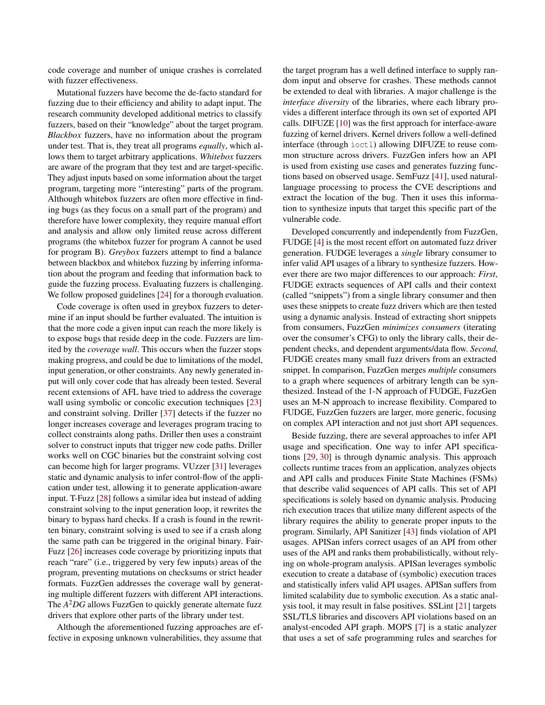code coverage and number of unique crashes is correlated with fuzzer effectiveness.

Mutational fuzzers have become the de-facto standard for fuzzing due to their efficiency and ability to adapt input. The research community developed additional metrics to classify fuzzers, based on their "knowledge" about the target program. *Blackbox* fuzzers, have no information about the program under test. That is, they treat all programs *equally*, which allows them to target arbitrary applications. *Whitebox* fuzzers are aware of the program that they test and are target-specific. They adjust inputs based on some information about the target program, targeting more "interesting" parts of the program. Although whitebox fuzzers are often more effective in finding bugs (as they focus on a small part of the program) and therefore have lower complexity, they require manual effort and analysis and allow only limited reuse across different programs (the whitebox fuzzer for program A cannot be used for program B). *Greybox* fuzzers attempt to find a balance between blackbox and whitebox fuzzing by inferring information about the program and feeding that information back to guide the fuzzing process. Evaluating fuzzers is challenging. We follow proposed guidelines [\[24\]](#page-13-5) for a thorough evaluation.

Code coverage is often used in greybox fuzzers to determine if an input should be further evaluated. The intuition is that the more code a given input can reach the more likely is to expose bugs that reside deep in the code. Fuzzers are limited by the *coverage wall*. This occurs when the fuzzer stops making progress, and could be due to limitations of the model, input generation, or other constraints. Any newly generated input will only cover code that has already been tested. Several recent extensions of AFL have tried to address the coverage wall using symbolic or concolic execution techniques [\[23\]](#page-13-17) and constraint solving. Driller [\[37\]](#page-14-4) detects if the fuzzer no longer increases coverage and leverages program tracing to collect constraints along paths. Driller then uses a constraint solver to construct inputs that trigger new code paths. Driller works well on CGC binaries but the constraint solving cost can become high for larger programs. VUzzer [\[31\]](#page-14-5) leverages static and dynamic analysis to infer control-flow of the application under test, allowing it to generate application-aware input. T-Fuzz [\[28\]](#page-14-6) follows a similar idea but instead of adding constraint solving to the input generation loop, it rewrites the binary to bypass hard checks. If a crash is found in the rewritten binary, constraint solving is used to see if a crash along the same path can be triggered in the original binary. Fair-Fuzz [\[26\]](#page-13-18) increases code coverage by prioritizing inputs that reach "rare" (i.e., triggered by very few inputs) areas of the program, preventing mutations on checksums or strict header formats. FuzzGen addresses the coverage wall by generating multiple different fuzzers with different API interactions. The *A* <sup>2</sup>*DG* allows FuzzGen to quickly generate alternate fuzz drivers that explore other parts of the library under test.

Although the aforementioned fuzzing approaches are effective in exposing unknown vulnerabilities, they assume that

the target program has a well defined interface to supply random input and observe for crashes. These methods cannot be extended to deal with libraries. A major challenge is the *interface diversity* of the libraries, where each library provides a different interface through its own set of exported API calls. DIFUZE [\[10\]](#page-13-19) was the first approach for interface-aware fuzzing of kernel drivers. Kernel drivers follow a well-defined interface (through ioctl) allowing DIFUZE to reuse common structure across drivers. FuzzGen infers how an API is used from existing use cases and generates fuzzing functions based on observed usage. SemFuzz [\[41\]](#page-14-11), used naturallanguage processing to process the CVE descriptions and extract the location of the bug. Then it uses this information to synthesize inputs that target this specific part of the vulnerable code.

Developed concurrently and independently from FuzzGen, FUDGE [\[4\]](#page-13-20) is the most recent effort on automated fuzz driver generation. FUDGE leverages a *single* library consumer to infer valid API usages of a library to synthesize fuzzers. However there are two major differences to our approach: *First*, FUDGE extracts sequences of API calls and their context (called "snippets") from a single library consumer and then uses these snippets to create fuzz drivers which are then tested using a dynamic analysis. Instead of extracting short snippets from consumers, FuzzGen *minimizes consumers* (iterating over the consumer's CFG) to only the library calls, their dependent checks, and dependent arguments/data flow. *Second,* FUDGE creates many small fuzz drivers from an extracted snippet. In comparison, FuzzGen merges *multiple* consumers to a graph where sequences of arbitrary length can be synthesized. Instead of the 1-N approach of FUDGE, FuzzGen uses an M-N approach to increase flexibility. Compared to FUDGE, FuzzGen fuzzers are larger, more generic, focusing on complex API interaction and not just short API sequences.

Beside fuzzing, there are several approaches to infer API usage and specification. One way to infer API specifications [\[29,](#page-14-12) [30\]](#page-14-13) is through dynamic analysis. This approach collects runtime traces from an application, analyzes objects and API calls and produces Finite State Machines (FSMs) that describe valid sequences of API calls. This set of API specifications is solely based on dynamic analysis. Producing rich execution traces that utilize many different aspects of the library requires the ability to generate proper inputs to the program. Similarly, API Sanitizer [\[43\]](#page-14-14) finds violation of API usages. APISan infers correct usages of an API from other uses of the API and ranks them probabilistically, without relying on whole-program analysis. APISan leverages symbolic execution to create a database of (symbolic) execution traces and statistically infers valid API usages. APISan suffers from limited scalability due to symbolic execution. As a static analysis tool, it may result in false positives. SSLint [\[21\]](#page-13-21) targets SSL/TLS libraries and discovers API violations based on an analyst-encoded API graph. MOPS [\[7\]](#page-13-22) is a static analyzer that uses a set of safe programming rules and searches for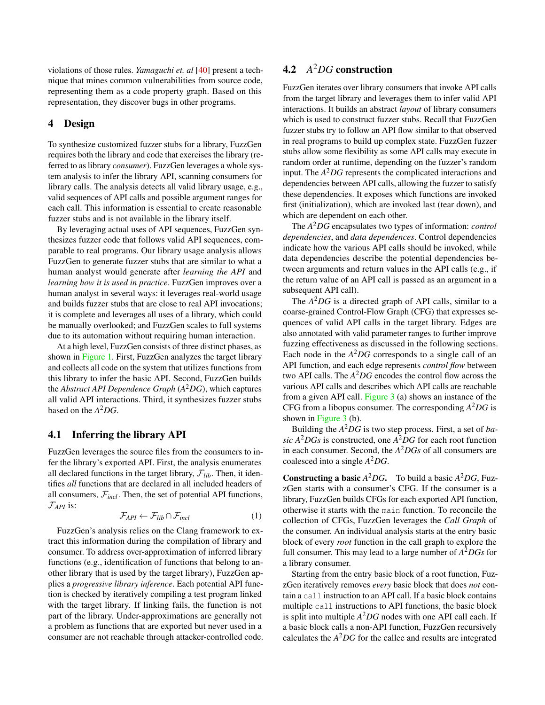violations of those rules. *Yamaguchi et. al* [\[40\]](#page-14-15) present a technique that mines common vulnerabilities from source code, representing them as a code property graph. Based on this representation, they discover bugs in other programs.

#### 4 Design

To synthesize customized fuzzer stubs for a library, FuzzGen requires both the library and code that exercises the library (referred to as library *consumer*). FuzzGen leverages a whole system analysis to infer the library API, scanning consumers for library calls. The analysis detects all valid library usage, e.g., valid sequences of API calls and possible argument ranges for each call. This information is essential to create reasonable fuzzer stubs and is not available in the library itself.

By leveraging actual uses of API sequences, FuzzGen synthesizes fuzzer code that follows valid API sequences, comparable to real programs. Our library usage analysis allows FuzzGen to generate fuzzer stubs that are similar to what a human analyst would generate after *learning the API* and *learning how it is used in practice*. FuzzGen improves over a human analyst in several ways: it leverages real-world usage and builds fuzzer stubs that are close to real API invocations; it is complete and leverages all uses of a library, which could be manually overlooked; and FuzzGen scales to full systems due to its automation without requiring human interaction.

At a high level, FuzzGen consists of three distinct phases, as shown in [Figure 1.](#page-1-0) First, FuzzGen analyzes the target library and collects all code on the system that utilizes functions from this library to infer the basic API. Second, FuzzGen builds the *Abstract API Dependence Graph* (*A* <sup>2</sup>*DG*), which captures all valid API interactions. Third, it synthesizes fuzzer stubs based on the *A* <sup>2</sup>*DG*.

#### 4.1 Inferring the library API

FuzzGen leverages the source files from the consumers to infer the library's exported API. First, the analysis enumerates all declared functions in the target library,  $\mathcal{F}_{lib}$ . Then, it identifies *all* functions that are declared in all included headers of all consumers,  $\mathcal{F}_{incl}$ . Then, the set of potential API functions, F*API* is:

$$
\mathcal{F}_{API} \leftarrow \mathcal{F}_{lib} \cap \mathcal{F}_{incl} \tag{1}
$$

FuzzGen's analysis relies on the Clang framework to extract this information during the compilation of library and consumer. To address over-approximation of inferred library functions (e.g., identification of functions that belong to another library that is used by the target library), FuzzGen applies a *progressive library inference*. Each potential API function is checked by iteratively compiling a test program linked with the target library. If linking fails, the function is not part of the library. Under-approximations are generally not a problem as functions that are exported but never used in a consumer are not reachable through attacker-controlled code.

# 4.2 *A* <sup>2</sup>*DG* construction

FuzzGen iterates over library consumers that invoke API calls from the target library and leverages them to infer valid API interactions. It builds an abstract *layout* of library consumers which is used to construct fuzzer stubs. Recall that FuzzGen fuzzer stubs try to follow an API flow similar to that observed in real programs to build up complex state. FuzzGen fuzzer stubs allow some flexibility as some API calls may execute in random order at runtime, depending on the fuzzer's random input. The *A* <sup>2</sup>*DG* represents the complicated interactions and dependencies between API calls, allowing the fuzzer to satisfy these dependencies. It exposes which functions are invoked first (initialization), which are invoked last (tear down), and which are dependent on each other.

The *A* <sup>2</sup>*DG* encapsulates two types of information: *control dependencies*, and *data dependences*. Control dependencies indicate how the various API calls should be invoked, while data dependencies describe the potential dependencies between arguments and return values in the API calls (e.g., if the return value of an API call is passed as an argument in a subsequent API call).

The *A* <sup>2</sup>*DG* is a directed graph of API calls, similar to a coarse-grained Control-Flow Graph (CFG) that expresses sequences of valid API calls in the target library. Edges are also annotated with valid parameter ranges to further improve fuzzing effectiveness as discussed in the following sections. Each node in the  $A^2DG$  corresponds to a single call of an API function, and each edge represents *control flow* between two API calls. The *A* <sup>2</sup>*DG* encodes the control flow across the various API calls and describes which API calls are reachable from a given API call. [Figure 3](#page-5-0) (a) shows an instance of the CFG from a libopus consumer. The corresponding *A* <sup>2</sup>*DG* is shown in [Figure 3](#page-5-0) (b).

Building the *A* <sup>2</sup>*DG* is two step process. First, a set of *basic A* <sup>2</sup>*DGs* is constructed, one *A* <sup>2</sup>*DG* for each root function in each consumer. Second, the *A* <sup>2</sup>*DGs* of all consumers are coalesced into a single *A* <sup>2</sup>*DG*.

**Constructing a basic**  $A^2DG$ . To build a basic  $A^2DG$ , FuzzGen starts with a consumer's CFG. If the consumer is a library, FuzzGen builds CFGs for each exported API function, otherwise it starts with the main function. To reconcile the collection of CFGs, FuzzGen leverages the *Call Graph* of the consumer. An individual analysis starts at the entry basic block of every *root* function in the call graph to explore the full consumer. This may lead to a large number of *A* <sup>2</sup>*DGs* for a library consumer.

Starting from the entry basic block of a root function, FuzzGen iteratively removes *every* basic block that does *not* contain a call instruction to an API call. If a basic block contains multiple call instructions to API functions, the basic block is split into multiple *A* <sup>2</sup>*DG* nodes with one API call each. If a basic block calls a non-API function, FuzzGen recursively calculates the *A* <sup>2</sup>*DG* for the callee and results are integrated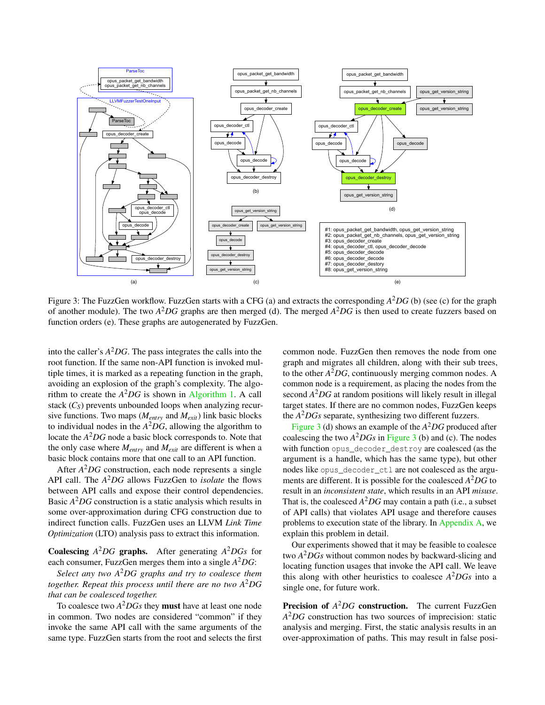<span id="page-5-0"></span>

Figure 3: The FuzzGen workflow. FuzzGen starts with a CFG (a) and extracts the corresponding *A* <sup>2</sup>*DG* (b) (see (c) for the graph of another module). The two *A* <sup>2</sup>*DG* graphs are then merged (d). The merged *A* <sup>2</sup>*DG* is then used to create fuzzers based on function orders (e). These graphs are autogenerated by FuzzGen.

into the caller's *A* <sup>2</sup>*DG*. The pass integrates the calls into the root function. If the same non-API function is invoked multiple times, it is marked as a repeating function in the graph, avoiding an explosion of the graph's complexity. The algorithm to create the  $A^2DG$  is shown in [Algorithm 1.](#page-6-0) A call stack  $(C_S)$  prevents unbounded loops when analyzing recursive functions. Two maps (*Mentry* and *Mexit*) link basic blocks to individual nodes in the  $A^2DG$ , allowing the algorithm to locate the *A* <sup>2</sup>*DG* node a basic block corresponds to. Note that the only case where *Mentry* and *Mexit* are different is when a basic block contains more that one call to an API function.

After *A* <sup>2</sup>*DG* construction, each node represents a single API call. The *A* <sup>2</sup>*DG* allows FuzzGen to *isolate* the flows between API calls and expose their control dependencies. Basic *A* <sup>2</sup>*DG* construction is a static analysis which results in some over-approximation during CFG construction due to indirect function calls. FuzzGen uses an LLVM *Link Time Optimization* (LTO) analysis pass to extract this information.

Coalescing *A* <sup>2</sup>*DG* graphs. After generating *A* <sup>2</sup>*DGs* for each consumer, FuzzGen merges them into a single *A* <sup>2</sup>*DG*:

*Select any two A* <sup>2</sup>*DG graphs and try to coalesce them together. Repeat this process until there are no two A* <sup>2</sup>*DG that can be coalesced together.*

To coalesce two *A* <sup>2</sup>*DGs* they must have at least one node in common. Two nodes are considered "common" if they invoke the same API call with the same arguments of the same type. FuzzGen starts from the root and selects the first common node. FuzzGen then removes the node from one graph and migrates all children, along with their sub trees, to the other *A* <sup>2</sup>*DG*, continuously merging common nodes. A common node is a requirement, as placing the nodes from the second *A* <sup>2</sup>*DG* at random positions will likely result in illegal target states. If there are no common nodes, FuzzGen keeps the *A* <sup>2</sup>*DGs* separate, synthesizing two different fuzzers.

[Figure 3](#page-5-0) (d) shows an example of the *A* <sup>2</sup>*DG* produced after coalescing the two  $A^2DGs$  in [Figure 3](#page-5-0) (b) and (c). The nodes with function opus decoder destroy are coalesced (as the argument is a handle, which has the same type), but other nodes like opus\_decoder\_ctl are not coalesced as the arguments are different. It is possible for the coalesced *A* <sup>2</sup>*DG* to result in an *inconsistent state*, which results in an API *misuse*. That is, the coalesced  $A^2DG$  may contain a path (i.e., a subset of API calls) that violates API usage and therefore causes problems to execution state of the library. In [Appendix A,](#page-14-16) we explain this problem in detail.

Our experiments showed that it may be feasible to coalesce two *A* <sup>2</sup>*DGs* without common nodes by backward-slicing and locating function usages that invoke the API call. We leave this along with other heuristics to coalesce *A* <sup>2</sup>*DGs* into a single one, for future work.

Precision of  $A^2DG$  construction. The current FuzzGen *A* <sup>2</sup>*DG* construction has two sources of imprecision: static analysis and merging. First, the static analysis results in an over-approximation of paths. This may result in false posi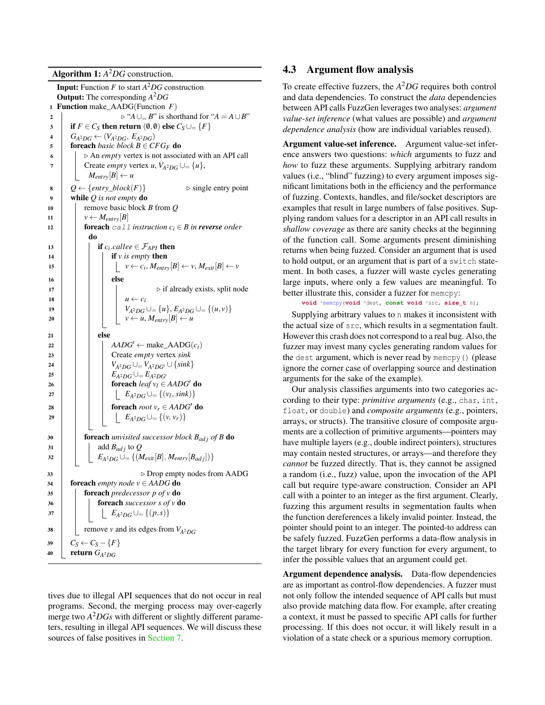Algorithm 1: *A* <sup>2</sup>*DG* construction.

<span id="page-6-0"></span>

|              | <b>Input:</b> Function $F$ to start $A^2DG$ construction                     |  |
|--------------|------------------------------------------------------------------------------|--|
|              | <b>Output:</b> The corresponding $A^2DG$                                     |  |
| $\mathbf{1}$ | <b>Function</b> make_AADG(Function $F$ )                                     |  |
| 2            | $\triangleright$ "A $\cup$ <sub>=</sub> B" is shorthand for "A = A $\cup$ B" |  |
| 3            | if $F \in C_S$ then return $(0,0)$ else $C_S \cup_{\equiv} \{F\}$            |  |
| 4            | $G_{A^2DG} \leftarrow (V_{A^2DG}, E_{A^2DG})$                                |  |
| 5            | <b>foreach</b> basic block $B \in CFG_F$ <b>do</b>                           |  |
| 6            | $\triangleright$ An <i>empty</i> vertex is not associated with an API call   |  |
| 7            | Create <i>empty</i> vertex u, $V_{A^2DG} \cup \{u\}$ ,                       |  |
|              | $M_{entry}[B] \leftarrow u$                                                  |  |
| 8            | $Q \leftarrow \{entry\_block(F)\}$<br>$\triangleright$ single entry point    |  |
| 9            | while $Q$ is not empty do                                                    |  |
| 10           | remove basic block $B$ from $O$                                              |  |
| 11           | $v \leftarrow M_{entry}  B $                                                 |  |
| 12           | <b>foreach</b> call instruction $c_i \in B$ in <b>reverse</b> order          |  |
|              | do                                                                           |  |
| 13           | if $c_i$ callee $\in \mathcal{F}_{API}$ then                                 |  |
| 14           | if $v$ is empty then                                                         |  |
| 15           | $v \leftarrow c_i, M_{entry}[B] \leftarrow v, M_{exit}[B] \leftarrow v$      |  |
| 16           | else                                                                         |  |
| 17           | $\triangleright$ if already exists, split node                               |  |
| 18           | $u \leftarrow c_i$                                                           |  |
| 19           | $V_{A^2DG} \cup \{u\}, E_{A^2DG} \cup \{u,v\}$                               |  |
| 20           | $v \leftarrow u, M_{entry}[B] \leftarrow u$                                  |  |
|              |                                                                              |  |
| 21           | else                                                                         |  |
| 22           | $AADG' \leftarrow \text{make\_AADG}(c_i)$                                    |  |
| 23           | Create empty vertex sink                                                     |  |
| 24           | $V_{A^2DG}\cup=V_{A^2DG'}\cup\{sink\}$                                       |  |
| 25           | $E_{A^2DG}\cup=E_{A^2DG'}$                                                   |  |
| 26           | <b>foreach</b> leaf $v_1 \in AADG'$ <b>do</b>                                |  |
| 27           | $E_{A^2DG} \cup = \{(v_l, sink)\}$                                           |  |
| 28           | foreach root $v_r \in AADG'$ do                                              |  |
| 29           | $E_{A^2DG} \cup = \{(v, v_r)\}$                                              |  |
|              |                                                                              |  |
| 30           | <b>foreach</b> unvisited successor block $B_{ad}$ of B <b>do</b>             |  |
| 31           | add $B_{adj}$ to Q                                                           |  |
| 32           | $E_{A^2DG} \cup = \{(M_{exit}[B], M_{entry}[B_{adj}])\}$                     |  |
| 33           | $\triangleright$ Drop empty nodes from AADG                                  |  |
| 34           | <b>foreach</b> empty node $v \in AADG$ <b>do</b>                             |  |
| 35           | <b>foreach</b> predecessor $p$ of $v$ <b>do</b>                              |  |
| 36           | foreach successor $s$ of $v$ do                                              |  |
| 37           | $E_{A^2DG} \cup = \{(p,s)\}\$                                                |  |
|              |                                                                              |  |
| 38           | remove v and its edges from $V_{A^2DG}$                                      |  |
| 39           | $C_S \leftarrow C_S - \{F\}$                                                 |  |
| 40           | return $G_{A^2DG}$                                                           |  |
|              |                                                                              |  |

tives due to illegal API sequences that do not occur in real programs. Second, the merging process may over-eagerly merge two *A* <sup>2</sup>*DGs* with different or slightly different parameters, resulting in illegal API sequences. We will discuss these sources of false positives in [Section 7.](#page-12-0)

### 4.3 Argument flow analysis

To create effective fuzzers, the *A* <sup>2</sup>*DG* requires both control and data dependencies. To construct the *data* dependencies between API calls FuzzGen leverages two analyses: *argument value-set inference* (what values are possible) and *argument dependence analysis* (how are individual variables reused).

Argument value-set inference. Argument value-set inference answers two questions: *which* arguments to fuzz and *how* to fuzz these arguments. Supplying arbitrary random values (i.e., "blind" fuzzing) to every argument imposes significant limitations both in the efficiency and the performance of fuzzing. Contexts, handles, and file/socket descriptors are examples that result in large numbers of false positives. Supplying random values for a descriptor in an API call results in *shallow coverage* as there are sanity checks at the beginning of the function call. Some arguments present diminishing returns when being fuzzed. Consider an argument that is used to hold output, or an argument that is part of a switch statement. In both cases, a fuzzer will waste cycles generating large inputs, where only a few values are meaningful. To better illustrate this, consider a fuzzer for memcpy:

```
void *memcpy(void *dest, const void *src, size_t n);
```
Supplying arbitrary values to n makes it inconsistent with the actual size of src, which results in a segmentation fault. However this crash does not correspond to a real bug. Also, the fuzzer may invest many cycles generating random values for the dest argument, which is never read by memcpy() (please ignore the corner case of overlapping source and destination arguments for the sake of the example).

Our analysis classifies arguments into two categories according to their type: *primitive arguments* (e.g., char, int, float, or double) and *composite arguments* (e.g., pointers, arrays, or structs). The transitive closure of composite arguments are a collection of primitive arguments—pointers may have multiple layers (e.g., double indirect pointers), structures may contain nested structures, or arrays—and therefore they *cannot* be fuzzed directly. That is, they cannot be assigned a random (i.e., fuzz) value, upon the invocation of the API call but require type-aware construction. Consider an API call with a pointer to an integer as the first argument. Clearly, fuzzing this argument results in segmentation faults when the function dereferences a likely invalid pointer. Instead, the pointer should point to an integer. The pointed-to address can be safely fuzzed. FuzzGen performs a data-flow analysis in the target library for every function for every argument, to infer the possible values that an argument could get.

Argument dependence analysis. Data-flow dependencies are as important as control-flow dependencies. A fuzzer must not only follow the intended sequence of API calls but must also provide matching data flow. For example, after creating a context, it must be passed to specific API calls for further processing. If this does not occur, it will likely result in a violation of a state check or a spurious memory corruption.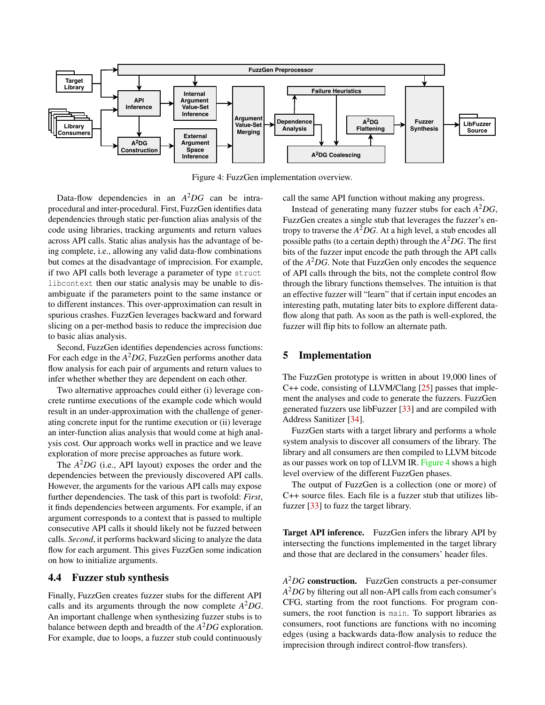<span id="page-7-0"></span>

Figure 4: FuzzGen implementation overview.

Data-flow dependencies in an *A* <sup>2</sup>*DG* can be intraprocedural and inter-procedural. First, FuzzGen identifies data dependencies through static per-function alias analysis of the code using libraries, tracking arguments and return values across API calls. Static alias analysis has the advantage of being complete, i.e., allowing any valid data-flow combinations but comes at the disadvantage of imprecision. For example, if two API calls both leverage a parameter of type struct libcontext then our static analysis may be unable to disambiguate if the parameters point to the same instance or to different instances. This over-approximation can result in spurious crashes. FuzzGen leverages backward and forward slicing on a per-method basis to reduce the imprecision due to basic alias analysis.

Second, FuzzGen identifies dependencies across functions: For each edge in the *A* <sup>2</sup>*DG*, FuzzGen performs another data flow analysis for each pair of arguments and return values to infer whether whether they are dependent on each other.

Two alternative approaches could either (i) leverage concrete runtime executions of the example code which would result in an under-approximation with the challenge of generating concrete input for the runtime execution or (ii) leverage an inter-function alias analysis that would come at high analysis cost. Our approach works well in practice and we leave exploration of more precise approaches as future work.

The *A* <sup>2</sup>*DG* (i.e., API layout) exposes the order and the dependencies between the previously discovered API calls. However, the arguments for the various API calls may expose further dependencies. The task of this part is twofold: *First*, it finds dependencies between arguments. For example, if an argument corresponds to a context that is passed to multiple consecutive API calls it should likely not be fuzzed between calls. *Second*, it performs backward slicing to analyze the data flow for each argument. This gives FuzzGen some indication on how to initialize arguments.

### 4.4 Fuzzer stub synthesis

Finally, FuzzGen creates fuzzer stubs for the different API calls and its arguments through the now complete *A* <sup>2</sup>*DG*. An important challenge when synthesizing fuzzer stubs is to balance between depth and breadth of the *A* <sup>2</sup>*DG* exploration. For example, due to loops, a fuzzer stub could continuously

call the same API function without making any progress.

Instead of generating many fuzzer stubs for each *A* <sup>2</sup>*DG*, FuzzGen creates a single stub that leverages the fuzzer's entropy to traverse the *A* <sup>2</sup>*DG*. At a high level, a stub encodes all possible paths (to a certain depth) through the *A* <sup>2</sup>*DG*. The first bits of the fuzzer input encode the path through the API calls of the *A* <sup>2</sup>*DG*. Note that FuzzGen only encodes the sequence of API calls through the bits, not the complete control flow through the library functions themselves. The intuition is that an effective fuzzer will "learn" that if certain input encodes an interesting path, mutating later bits to explore different dataflow along that path. As soon as the path is well-explored, the fuzzer will flip bits to follow an alternate path.

### 5 Implementation

The FuzzGen prototype is written in about 19,000 lines of C++ code, consisting of LLVM/Clang [\[25\]](#page-13-23) passes that implement the analyses and code to generate the fuzzers. FuzzGen generated fuzzers use libFuzzer [\[33\]](#page-14-8) and are compiled with Address Sanitizer [\[34\]](#page-14-17).

FuzzGen starts with a target library and performs a whole system analysis to discover all consumers of the library. The library and all consumers are then compiled to LLVM bitcode as our passes work on top of LLVM IR. [Figure 4](#page-7-0) shows a high level overview of the different FuzzGen phases.

The output of FuzzGen is a collection (one or more) of C++ source files. Each file is a fuzzer stub that utilizes libfuzzer [\[33\]](#page-14-8) to fuzz the target library.

Target API inference. FuzzGen infers the library API by intersecting the functions implemented in the target library and those that are declared in the consumers' header files.

*A* <sup>2</sup>*DG* construction. FuzzGen constructs a per-consumer *A* <sup>2</sup>*DG* by filtering out all non-API calls from each consumer's CFG, starting from the root functions. For program consumers, the root function is main. To support libraries as consumers, root functions are functions with no incoming edges (using a backwards data-flow analysis to reduce the imprecision through indirect control-flow transfers).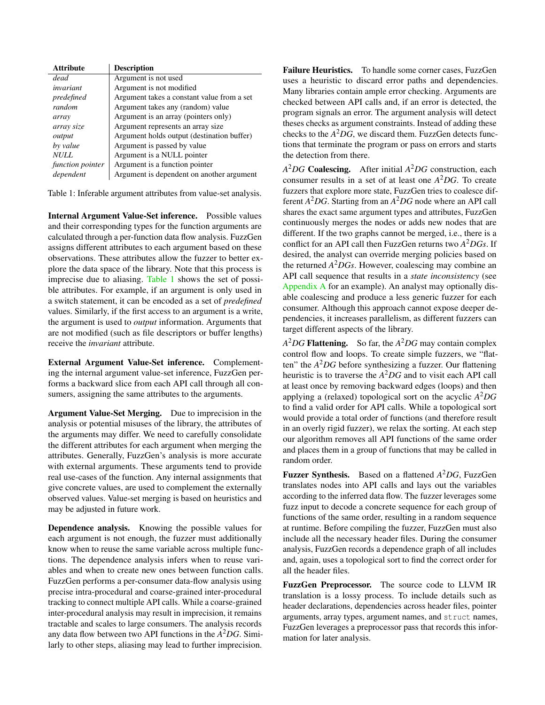<span id="page-8-0"></span>

| <b>Attribute</b> | <b>Description</b>                         |
|------------------|--------------------------------------------|
| dead             | Argument is not used                       |
| invariant        | Argument is not modified                   |
| predefined       | Argument takes a constant value from a set |
| random           | Argument takes any (random) value          |
| array            | Argument is an array (pointers only)       |
| array size       | Argument represents an array size          |
| output           | Argument holds output (destination buffer) |
| by value         | Argument is passed by value                |
| <i>NULL</i>      | Argument is a NULL pointer                 |
| function pointer | Argument is a function pointer             |
| dependent        | Argument is dependent on another argument  |

Table 1: Inferable argument attributes from value-set analysis.

Internal Argument Value-Set inference. Possible values and their corresponding types for the function arguments are calculated through a per-function data flow analysis. FuzzGen assigns different attributes to each argument based on these observations. These attributes allow the fuzzer to better explore the data space of the library. Note that this process is imprecise due to aliasing. [Table 1](#page-8-0) shows the set of possible attributes. For example, if an argument is only used in a switch statement, it can be encoded as a set of *predefined* values. Similarly, if the first access to an argument is a write, the argument is used to *output* information. Arguments that are not modified (such as file descriptors or buffer lengths) receive the *invariant* attribute.

External Argument Value-Set inference. Complementing the internal argument value-set inference, FuzzGen performs a backward slice from each API call through all consumers, assigning the same attributes to the arguments.

Argument Value-Set Merging. Due to imprecision in the analysis or potential misuses of the library, the attributes of the arguments may differ. We need to carefully consolidate the different attributes for each argument when merging the attributes. Generally, FuzzGen's analysis is more accurate with external arguments. These arguments tend to provide real use-cases of the function. Any internal assignments that give concrete values, are used to complement the externally observed values. Value-set merging is based on heuristics and may be adjusted in future work.

Dependence analysis. Knowing the possible values for each argument is not enough, the fuzzer must additionally know when to reuse the same variable across multiple functions. The dependence analysis infers when to reuse variables and when to create new ones between function calls. FuzzGen performs a per-consumer data-flow analysis using precise intra-procedural and coarse-grained inter-procedural tracking to connect multiple API calls. While a coarse-grained inter-procedural analysis may result in imprecision, it remains tractable and scales to large consumers. The analysis records any data flow between two API functions in the *A* <sup>2</sup>*DG*. Similarly to other steps, aliasing may lead to further imprecision.

Failure Heuristics. To handle some corner cases, FuzzGen uses a heuristic to discard error paths and dependencies. Many libraries contain ample error checking. Arguments are checked between API calls and, if an error is detected, the program signals an error. The argument analysis will detect theses checks as argument constraints. Instead of adding these checks to the  $A^2DG$ , we discard them. FuzzGen detects functions that terminate the program or pass on errors and starts the detection from there.

*A* <sup>2</sup>*DG* Coalescing. After initial *A* <sup>2</sup>*DG* construction, each consumer results in a set of at least one *A* <sup>2</sup>*DG*. To create fuzzers that explore more state, FuzzGen tries to coalesce different *A* <sup>2</sup>*DG*. Starting from an *A* <sup>2</sup>*DG* node where an API call shares the exact same argument types and attributes, FuzzGen continuously merges the nodes or adds new nodes that are different. If the two graphs cannot be merged, i.e., there is a conflict for an API call then FuzzGen returns two *A* <sup>2</sup>*DGs*. If desired, the analyst can override merging policies based on the returned *A* <sup>2</sup>*DGs*. However, coalescing may combine an API call sequence that results in a *state inconsistency* (see [Appendix A](#page-14-16) for an example). An analyst may optionally disable coalescing and produce a less generic fuzzer for each consumer. Although this approach cannot expose deeper dependencies, it increases parallelism, as different fuzzers can target different aspects of the library.

*A* <sup>2</sup>*DG* Flattening. So far, the *A* <sup>2</sup>*DG* may contain complex control flow and loops. To create simple fuzzers, we "flatten" the *A* <sup>2</sup>*DG* before synthesizing a fuzzer. Our flattening heuristic is to traverse the *A* <sup>2</sup>*DG* and to visit each API call at least once by removing backward edges (loops) and then applying a (relaxed) topological sort on the acyclic *A* <sup>2</sup>*DG* to find a valid order for API calls. While a topological sort would provide a total order of functions (and therefore result in an overly rigid fuzzer), we relax the sorting. At each step our algorithm removes all API functions of the same order and places them in a group of functions that may be called in random order.

Fuzzer Synthesis. Based on a flattened *A* <sup>2</sup>*DG*, FuzzGen translates nodes into API calls and lays out the variables according to the inferred data flow. The fuzzer leverages some fuzz input to decode a concrete sequence for each group of functions of the same order, resulting in a random sequence at runtime. Before compiling the fuzzer, FuzzGen must also include all the necessary header files. During the consumer analysis, FuzzGen records a dependence graph of all includes and, again, uses a topological sort to find the correct order for all the header files.

FuzzGen Preprocessor. The source code to LLVM IR translation is a lossy process. To include details such as header declarations, dependencies across header files, pointer arguments, array types, argument names, and struct names, FuzzGen leverages a preprocessor pass that records this information for later analysis.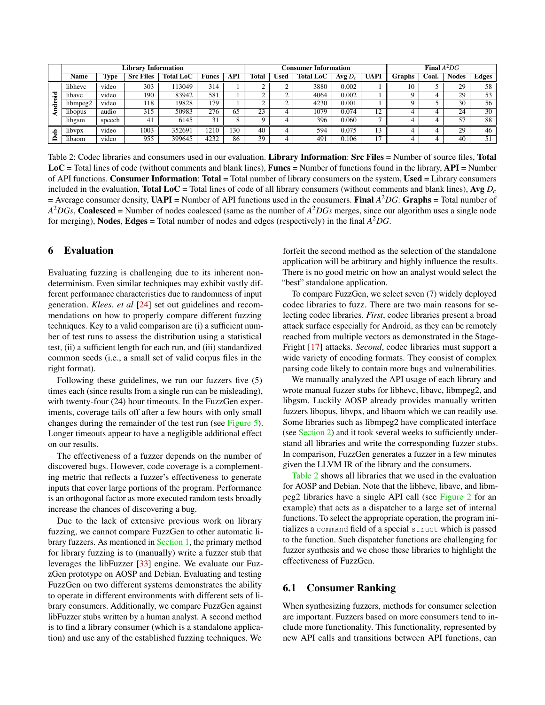<span id="page-9-1"></span>

|             |             |        | <b>Library Information</b> |                  |              |     |              |             | <b>Consumer Information</b> | <b>Final</b> $A^2DG$ |                |        |       |              |              |
|-------------|-------------|--------|----------------------------|------------------|--------------|-----|--------------|-------------|-----------------------------|----------------------|----------------|--------|-------|--------------|--------------|
|             | <b>Name</b> | lype   | <b>Src Files</b>           | <b>Total LoC</b> | <b>Funcs</b> | API | <b>Total</b> | <b>Used</b> | <b>Total LoC</b>            | Avg $D_c$            | <b>UAPI</b>    | Graphs | Coal. | <b>Nodes</b> | <b>Edges</b> |
|             | libhevc     | video  | 303                        | 113049           | 314          |     |              |             | 3880                        | 0.002                |                | 10     |       | 29           | 58           |
| ş           | libavc      | video  | 190                        | 83942            | 581          |     |              |             | 4064                        | 0.002                |                |        |       | 29           | 53           |
| a<br>÷<br>≏ | libmpeg2    | video  | 118                        | 19828            | 179          |     |              |             | 4230                        | 0.001                |                |        |       | 30           | 56           |
|             | libopus     | audio  | 315                        | 50983            | 276          | 65  | 23           |             | 1079                        | 0.074                | 12             |        |       | 24           | 30           |
|             | libgsm      | speech | 41                         | 6145             | 31           |     |              |             | 396                         | 0.060                | $\overline{ }$ |        |       | 57           | 88           |
|             | libypx      | video  | 1003                       | 352691           | 210          | 30  | 40           |             | 594                         | 0.075                | 13             |        |       | 29           | 46           |
|             | libaom      | video  | 955                        | 399645           | 4232         | 86  | 39           |             | 491                         | 0.106                | 17             |        |       | 40           | 51           |

Table 2: Codec libraries and consumers used in our evaluation. Library Information: Src Files = Number of source files, Total  $LoC = Total lines of code (without comments and blank lines), **Funcs** = Number of functions found in the library, **API** = Number of the image.$ of API functions. Consumer Information: Total = Total number of library consumers on the system, Used = Library consumers included in the evaluation, **Total LoC** = Total lines of code of all library consumers (without comments and blank lines), Avg  $D_c$  $=$  Average consumer density, UAPI = Number of API functions used in the consumers. Final  $A^2DG$ : Graphs = Total number of *A* <sup>2</sup>*DGs*, Coalesced = Number of nodes coalesced (same as the number of *A* <sup>2</sup>*DGs* merges, since our algorithm uses a single node for merging), Nodes, Edges = Total number of nodes and edges (respectively) in the final *A* <sup>2</sup>*DG*.

### <span id="page-9-0"></span>6 Evaluation

Evaluating fuzzing is challenging due to its inherent nondeterminism. Even similar techniques may exhibit vastly different performance characteristics due to randomness of input generation. *Klees. et al* [\[24\]](#page-13-5) set out guidelines and recommendations on how to properly compare different fuzzing techniques. Key to a valid comparison are (i) a sufficient number of test runs to assess the distribution using a statistical test, (ii) a sufficient length for each run, and (iii) standardized common seeds (i.e., a small set of valid corpus files in the right format).

Following these guidelines, we run our fuzzers five (5) times each (since results from a single run can be misleading), with twenty-four (24) hour timeouts. In the FuzzGen experiments, coverage tails off after a few hours with only small changes during the remainder of the test run (see [Figure 5\)](#page-11-0). Longer timeouts appear to have a negligible additional effect on our results.

The effectiveness of a fuzzer depends on the number of discovered bugs. However, code coverage is a complementing metric that reflects a fuzzer's effectiveness to generate inputs that cover large portions of the program. Performance is an orthogonal factor as more executed random tests broadly increase the chances of discovering a bug.

Due to the lack of extensive previous work on library fuzzing, we cannot compare FuzzGen to other automatic library fuzzers. As mentioned in [Section 1,](#page-0-0) the primary method for library fuzzing is to (manually) write a fuzzer stub that leverages the libFuzzer [\[33\]](#page-14-8) engine. We evaluate our FuzzGen prototype on AOSP and Debian. Evaluating and testing FuzzGen on two different systems demonstrates the ability to operate in different environments with different sets of library consumers. Additionally, we compare FuzzGen against libFuzzer stubs written by a human analyst. A second method is to find a library consumer (which is a standalone application) and use any of the established fuzzing techniques. We

forfeit the second method as the selection of the standalone application will be arbitrary and highly influence the results. There is no good metric on how an analyst would select the "best" standalone application.

To compare FuzzGen, we select seven (7) widely deployed codec libraries to fuzz. There are two main reasons for selecting codec libraries. *First*, codec libraries present a broad attack surface especially for Android, as they can be remotely reached from multiple vectors as demonstrated in the Stage-Fright [\[17\]](#page-13-13) attacks. *Second*, codec libraries must support a wide variety of encoding formats. They consist of complex parsing code likely to contain more bugs and vulnerabilities.

We manually analyzed the API usage of each library and wrote manual fuzzer stubs for libhevc, libavc, libmpeg2, and libgsm. Luckily AOSP already provides manually written fuzzers libopus, libvpx, and libaom which we can readily use. Some libraries such as libmpeg2 have complicated interface (see [Section 2\)](#page-2-1) and it took several weeks to sufficiently understand all libraries and write the corresponding fuzzer stubs. In comparison, FuzzGen generates a fuzzer in a few minutes given the LLVM IR of the library and the consumers.

[Table 2](#page-9-1) shows all libraries that we used in the evaluation for AOSP and Debian. Note that the libhevc, libavc, and libmpeg2 libraries have a single API call (see [Figure 2](#page-2-0) for an example) that acts as a dispatcher to a large set of internal functions. To select the appropriate operation, the program initializes a command field of a special struct which is passed to the function. Such dispatcher functions are challenging for fuzzer synthesis and we chose these libraries to highlight the effectiveness of FuzzGen.

#### 6.1 Consumer Ranking

When synthesizing fuzzers, methods for consumer selection are important. Fuzzers based on more consumers tend to include more functionality. This functionality, represented by new API calls and transitions between API functions, can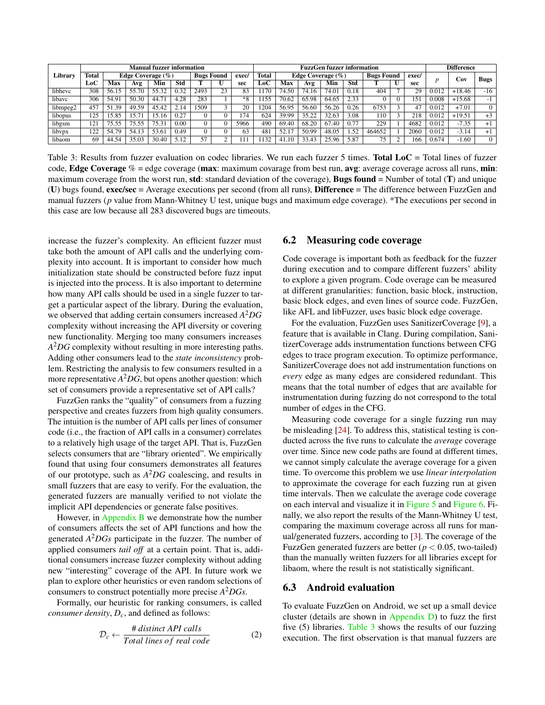<span id="page-10-0"></span>

|          | <b>Manual fuzzer information</b> |                       |       |                   |      |       |       | FuzzGen fuzzer information |     |                     |                   |            |       |        |              | <b>Difference</b> |                |          |                          |
|----------|----------------------------------|-----------------------|-------|-------------------|------|-------|-------|----------------------------|-----|---------------------|-------------------|------------|-------|--------|--------------|-------------------|----------------|----------|--------------------------|
| Library  | <b>Total</b>                     | Edge Coverage $(\% )$ |       | <b>Bugs Found</b> |      | exec/ | Total | Edge Coverage $(\% )$      |     |                     | <b>Bugs Found</b> |            | exec/ |        | ∴ov          | <b>Bugs</b>       |                |          |                          |
|          | LoC                              | Max                   | Avg   | Min               | Std  |       |       | sec                        | LoC | Max                 | Avg               | Min        | Std   |        | $\mathbf{U}$ | sec               |                |          |                          |
| libhevc  | 308                              | 56.15                 | 55.70 | 55.32             | 0.32 | 2493  | 23    | 83                         | 170 | 74.50               | 74.16             | 74.01      | 0.18  | 404    |              | 29                | $0.01^{\circ}$ | $+18.46$ | $-16$                    |
| libavc   | 306                              | 54.9                  | 50.30 | 44.71             | .28  | 283   |       | $*8$                       | 155 | 70.62               | 65.98             | 64.65      | 2.33  |        |              | ا 5               | 0.008          | $+15.68$ | $\overline{\phantom{0}}$ |
| libmpeg2 | 457                              | 51.39                 | 49.59 | 45.42             | 14   | 1509  |       | 20                         | 204 | 56.95               | 56.60             | 56.26      | 0.26  | 6753   |              | 47                | 0.012          | $+7.01$  |                          |
| libopus  | 125                              | 5.85ء                 | 15.7  | 5.16              | 0.27 | 0     |       | 74                         | 624 | 39.99               | 35.22             | 32.63      | 3.08  | ! 10   |              | 218               | 0.012          | $+19.51$ | $+3$                     |
| libgsm   | 121                              | 75                    | 75.55 | 75.31             | 0.00 | 0     |       | 5966                       | 490 | 69.40               | 68.20             | -67<br>.40 | 0.77  | 229    |              | 4682              | 0.012          | 7.35     | $+1$                     |
| libypx   | 122<br>. 44                      | 54.79                 | 54.13 | 53.61             | 0.49 | 0     |       | 63                         | 48  | 52.                 | 50.99             | 48.05      | .52   | 464652 |              | 2060              | 0.012          | -3.14    | $+1$                     |
| libaom   | 69                               | -54<br>44.5           | 35.03 | 30.40             |      | 57    |       |                            | 132 | $\frac{1}{2}$<br>41 | 33.43             | 25.96      | 5.87  | 75     |              | 166               | 0.674          | $-1.60$  |                          |

Table 3: Results from fuzzer evaluation on codec libraries. We run each fuzzer 5 times. Total LoC = Total lines of fuzzer code, Edge Coverage  $% =$  edge coverage (max: maximum covarage from best run, avg: average coverage across all runs, min: maximum coverage from the worst run, **std**: standard deviation of the coverage), **Bugs found** = Number of total ( $T$ ) and unique (U) bugs found, exec/sec = Average executions per second (from all runs), Difference = The difference between FuzzGen and manual fuzzers (*p* value from Mann-Whitney U test, unique bugs and maximum edge coverage). \*The executions per second in this case are low because all 283 discovered bugs are timeouts.

increase the fuzzer's complexity. An efficient fuzzer must take both the amount of API calls and the underlying complexity into account. It is important to consider how much initialization state should be constructed before fuzz input is injected into the process. It is also important to determine how many API calls should be used in a single fuzzer to target a particular aspect of the library. During the evaluation, we observed that adding certain consumers increased *A* <sup>2</sup>*DG* complexity without increasing the API diversity or covering new functionality. Merging too many consumers increases *A* <sup>2</sup>*DG* complexity without resulting in more interesting paths. Adding other consumers lead to the *state inconsistency* problem. Restricting the analysis to few consumers resulted in a more representative *A* <sup>2</sup>*DG*, but opens another question: which set of consumers provide a representative set of API calls?

FuzzGen ranks the "quality" of consumers from a fuzzing perspective and creates fuzzers from high quality consumers. The intuition is the number of API calls per lines of consumer code (i.e., the fraction of API calls in a consumer) correlates to a relatively high usage of the target API. That is, FuzzGen selects consumers that are "library oriented". We empirically found that using four consumers demonstrates all features of our prototype, such as *A* <sup>2</sup>*DG* coalescing, and results in small fuzzers that are easy to verify. For the evaluation, the generated fuzzers are manually verified to not violate the implicit API dependencies or generate false positives.

However, in [Appendix B](#page-15-1) we demonstrate how the number of consumers affects the set of API functions and how the generated *A* <sup>2</sup>*DGs* participate in the fuzzer. The number of applied consumers *tail off* at a certain point. That is, additional consumers increase fuzzer complexity without adding new "interesting" coverage of the API. In future work we plan to explore other heuristics or even random selections of consumers to construct potentially more precise *A* <sup>2</sup>*DGs*.

Formally, our heuristic for ranking consumers, is called *consumer density*, *Dc*, and defined as follows:

$$
\mathcal{D}_c \leftarrow \frac{\# distinct API calls}{Total lines of real code} \tag{2}
$$

#### 6.2 Measuring code coverage

Code coverage is important both as feedback for the fuzzer during execution and to compare different fuzzers' ability to explore a given program. Code overage can be measured at different granularities: function, basic block, instruction, basic block edges, and even lines of source code. FuzzGen, like AFL and libFuzzer, uses basic block edge coverage.

For the evaluation, FuzzGen uses SanitizerCoverage [\[9\]](#page-13-24), a feature that is available in Clang. During compilation, SanitizerCoverage adds instrumentation functions between CFG edges to trace program execution. To optimize performance, SanitizerCoverage does not add instrumentation functions on *every* edge as many edges are considered redundant. This means that the total number of edges that are available for instrumentation during fuzzing do not correspond to the total number of edges in the CFG.

Measuring code coverage for a single fuzzing run may be misleading [\[24\]](#page-13-5). To address this, statistical testing is conducted across the five runs to calculate the *average* coverage over time. Since new code paths are found at different times, we cannot simply calculate the average coverage for a given time. To overcome this problem we use *linear interpolation* to approximate the coverage for each fuzzing run at given time intervals. Then we calculate the average code coverage on each interval and visualize it in [Figure 5](#page-11-0) and [Figure 6.](#page-11-1) Finally, we also report the results of the Mann-Whitney U test, comparing the maximum coverage across all runs for manual/generated fuzzers, according to [\[3\]](#page-13-25). The coverage of the FuzzGen generated fuzzers are better ( $p < 0.05$ , two-tailed) than the manually written fuzzers for all libraries except for libaom, where the result is not statistically significant.

## 6.3 Android evaluation

To evaluate FuzzGen on Android, we set up a small device cluster (details are shown in Appendix  $D$ ) to fuzz the first five (5) libraries. [Table 3](#page-10-0) shows the results of our fuzzing execution. The first observation is that manual fuzzers are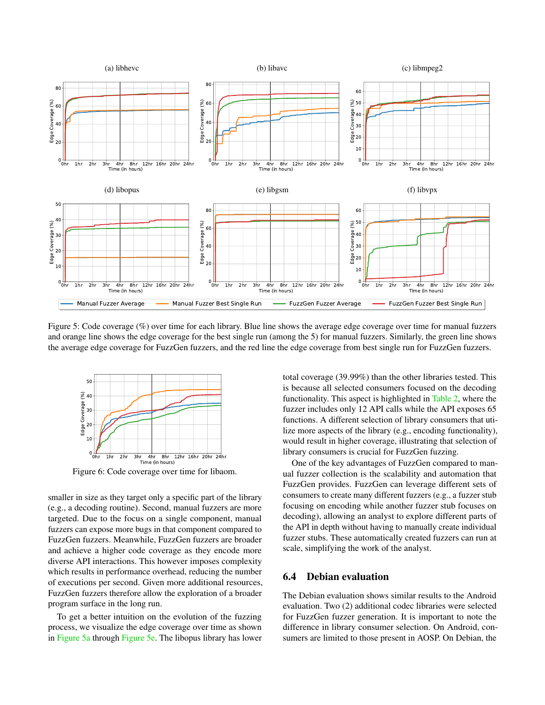<span id="page-11-0"></span>

Figure 5: Code coverage (%) over time for each library. Blue line shows the average edge coverage over time for manual fuzzers and orange line shows the edge coverage for the best single run (among the 5) for manual fuzzers. Similarly, the green line shows the average edge coverage for FuzzGen fuzzers, and the red line the edge coverage from best single run for FuzzGen fuzzers.

<span id="page-11-1"></span>

Figure 6: Code coverage over time for libaom.

smaller in size as they target only a specific part of the library (e.g., a decoding routine). Second, manual fuzzers are more targeted. Due to the focus on a single component, manual fuzzers can expose more bugs in that component compared to FuzzGen fuzzers. Meanwhile, FuzzGen fuzzers are broader and achieve a higher code coverage as they encode more diverse API interactions. This however imposes complexity which results in performance overhead, reducing the number of executions per second. Given more additional resources, FuzzGen fuzzers therefore allow the exploration of a broader program surface in the long run.

To get a better intuition on the evolution of the fuzzing process, we visualize the edge coverage over time as shown in [Figure 5a](#page-11-0) through [Figure 5e.](#page-11-0) The libopus library has lower

total coverage (39.99%) than the other libraries tested. This is because all selected consumers focused on the decoding functionality. This aspect is highlighted in [Table 2,](#page-9-1) where the fuzzer includes only 12 API calls while the API exposes 65 functions. A different selection of library consumers that utilize more aspects of the library (e.g., encoding functionality), would result in higher coverage, illustrating that selection of library consumers is crucial for FuzzGen fuzzing.

One of the key advantages of FuzzGen compared to manual fuzzer collection is the scalability and automation that FuzzGen provides. FuzzGen can leverage different sets of consumers to create many different fuzzers (e.g., a fuzzer stub focusing on encoding while another fuzzer stub focuses on decoding), allowing an analyst to explore different parts of the API in depth without having to manually create individual fuzzer stubs. These automatically created fuzzers can run at scale, simplifying the work of the analyst.

### 6.4 Debian evaluation

The Debian evaluation shows similar results to the Android evaluation. Two (2) additional codec libraries were selected for FuzzGen fuzzer generation. It is important to note the difference in library consumer selection. On Android, consumers are limited to those present in AOSP. On Debian, the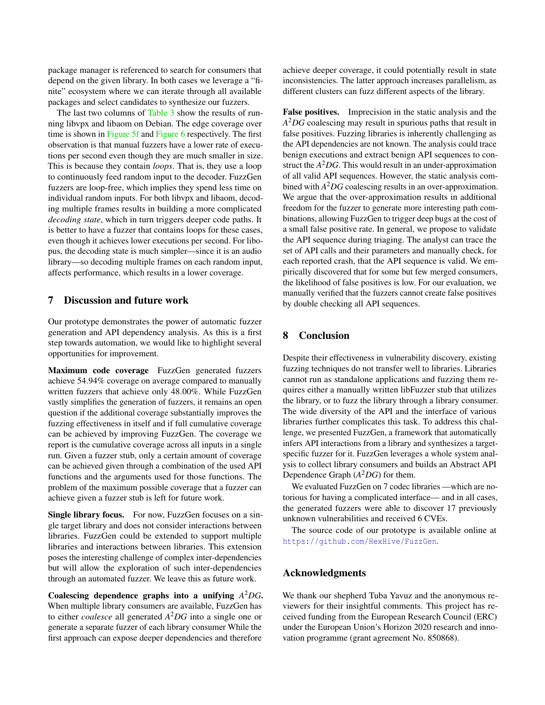package manager is referenced to search for consumers that depend on the given library. In both cases we leverage a "finite" ecosystem where we can iterate through all available packages and select candidates to synthesize our fuzzers.

The last two columns of [Table 3](#page-10-0) show the results of running libvpx and libaom on Debian. The edge coverage over time is shown in [Figure 5f](#page-11-0) and [Figure 6](#page-11-1) respectively. The first observation is that manual fuzzers have a lower rate of executions per second even though they are much smaller in size. This is because they contain *loops*. That is, they use a loop to continuously feed random input to the decoder. FuzzGen fuzzers are loop-free, which implies they spend less time on individual random inputs. For both libvpx and libaom, decoding multiple frames results in building a more complicated *decoding state*, which in turn triggers deeper code paths. It is better to have a fuzzer that contains loops for these cases, even though it achieves lower executions per second. For libopus, the decoding state is much simpler—since it is an audio library—so decoding multiple frames on each random input, affects performance, which results in a lower coverage.

#### <span id="page-12-0"></span>7 Discussion and future work

Our prototype demonstrates the power of automatic fuzzer generation and API dependency analysis. As this is a first step towards automation, we would like to highlight several opportunities for improvement.

Maximum code coverage FuzzGen generated fuzzers achieve 54.94% coverage on average compared to manually written fuzzers that achieve only 48.00%. While FuzzGen vastly simplifies the generation of fuzzers, it remains an open question if the additional coverage substantially improves the fuzzing effectiveness in itself and if full cumulative coverage can be achieved by improving FuzzGen. The coverage we report is the cumulative coverage across all inputs in a single run. Given a fuzzer stub, only a certain amount of coverage can be achieved given through a combination of the used API functions and the arguments used for those functions. The problem of the maximum possible coverage that a fuzzer can achieve given a fuzzer stub is left for future work.

Single library focus. For now, FuzzGen focuses on a single target library and does not consider interactions between libraries. FuzzGen could be extended to support multiple libraries and interactions between libraries. This extension poses the interesting challenge of complex inter-dependencies but will allow the exploration of such inter-dependencies through an automated fuzzer. We leave this as future work.

Coalescing dependence graphs into a unifying *A* <sup>2</sup>*DG*. When multiple library consumers are available, FuzzGen has to either *coalesce* all generated *A* <sup>2</sup>*DG* into a single one or generate a separate fuzzer of each library consumer While the first approach can expose deeper dependencies and therefore

achieve deeper coverage, it could potentially result in state inconsistencies. The latter approach increases parallelism, as different clusters can fuzz different aspects of the library.

False positives. Imprecision in the static analysis and the *A* <sup>2</sup>*DG* coalescing may result in spurious paths that result in false positives. Fuzzing libraries is inherently challenging as the API dependencies are not known. The analysis could trace benign executions and extract benign API sequences to construct the *A* <sup>2</sup>*DG*. This would result in an under-approximation of all valid API sequences. However, the static analysis combined with *A* <sup>2</sup>*DG* coalescing results in an over-approximation. We argue that the over-approximation results in additional freedom for the fuzzer to generate more interesting path combinations, allowing FuzzGen to trigger deep bugs at the cost of a small false positive rate. In general, we propose to validate the API sequence during triaging. The analyst can trace the set of API calls and their parameters and manually check, for each reported crash, that the API sequence is valid. We empirically discovered that for some but few merged consumers, the likelihood of false positives is low. For our evaluation, we manually verified that the fuzzers cannot create false positives by double checking all API sequences.

#### 8 Conclusion

Despite their effectiveness in vulnerability discovery, existing fuzzing techniques do not transfer well to libraries. Libraries cannot run as standalone applications and fuzzing them requires either a manually written libFuzzer stub that utilizes the library, or to fuzz the library through a library consumer. The wide diversity of the API and the interface of various libraries further complicates this task. To address this challenge, we presented FuzzGen, a framework that automatically infers API interactions from a library and synthesizes a targetspecific fuzzer for it. FuzzGen leverages a whole system analysis to collect library consumers and builds an Abstract API Dependence Graph (*A* <sup>2</sup>*DG*) for them.

We evaluated FuzzGen on 7 codec libraries —which are notorious for having a complicated interface— and in all cases, the generated fuzzers were able to discover 17 previously unknown vulnerabilities and received 6 CVEs.

The source code of our prototype is available online at <https://github.com/HexHive/FuzzGen>.

### Acknowledgments

We thank our shepherd Tuba Yavuz and the anonymous reviewers for their insightful comments. This project has received funding from the European Research Council (ERC) under the European Union's Horizon 2020 research and innovation programme (grant agreement No. 850868).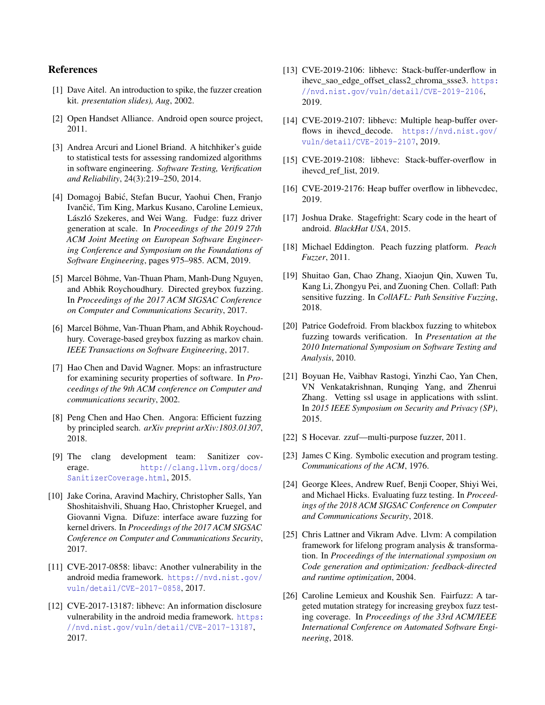### References

- <span id="page-13-14"></span>[1] Dave Aitel. An introduction to spike, the fuzzer creation kit. *presentation slides), Aug*, 2002.
- <span id="page-13-6"></span>[2] Open Handset Alliance. Android open source project, 2011.
- <span id="page-13-25"></span>[3] Andrea Arcuri and Lionel Briand. A hitchhiker's guide to statistical tests for assessing randomized algorithms in software engineering. *Software Testing, Verification and Reliability*, 24(3):219–250, 2014.
- <span id="page-13-20"></span>[4] Domagoj Babic, Stefan Bucur, Yaohui Chen, Franjo ´ Ivančić, Tim King, Markus Kusano, Caroline Lemieux, László Szekeres, and Wei Wang. Fudge: fuzz driver generation at scale. In *Proceedings of the 2019 27th ACM Joint Meeting on European Software Engineering Conference and Symposium on the Foundations of Software Engineering*, pages 975–985. ACM, 2019.
- <span id="page-13-2"></span>[5] Marcel Böhme, Van-Thuan Pham, Manh-Dung Nguyen, and Abhik Roychoudhury. Directed greybox fuzzing. In *Proceedings of the 2017 ACM SIGSAC Conference on Computer and Communications Security*, 2017.
- <span id="page-13-1"></span>[6] Marcel Böhme, Van-Thuan Pham, and Abhik Roychoudhury. Coverage-based greybox fuzzing as markov chain. *IEEE Transactions on Software Engineering*, 2017.
- <span id="page-13-22"></span>[7] Hao Chen and David Wagner. Mops: an infrastructure for examining security properties of software. In *Proceedings of the 9th ACM conference on Computer and communications security*, 2002.
- <span id="page-13-4"></span>[8] Peng Chen and Hao Chen. Angora: Efficient fuzzing by principled search. *arXiv preprint arXiv:1803.01307*, 2018.
- <span id="page-13-24"></span>[9] The clang development team: Sanitizer coverage. [http://clang.llvm.org/docs/](http://clang.llvm.org/docs/SanitizerCoverage.html) [SanitizerCoverage.html](http://clang.llvm.org/docs/SanitizerCoverage.html), 2015.
- <span id="page-13-19"></span>[10] Jake Corina, Aravind Machiry, Christopher Salls, Yan Shoshitaishvili, Shuang Hao, Christopher Kruegel, and Giovanni Vigna. Difuze: interface aware fuzzing for kernel drivers. In *Proceedings of the 2017 ACM SIGSAC Conference on Computer and Communications Security*, 2017.
- <span id="page-13-12"></span>[11] CVE-2017-0858: libavc: Another vulnerability in the android media framework. [https://nvd.nist.gov/](https://nvd.nist.gov/vuln/detail/CVE-2017-0858) [vuln/detail/CVE-2017-0858](https://nvd.nist.gov/vuln/detail/CVE-2017-0858), 2017.
- <span id="page-13-11"></span>[12] CVE-2017-13187: libhevc: An information disclosure vulnerability in the android media framework. [https:](https://nvd.nist.gov/vuln/detail/CVE-2017-13187) [//nvd.nist.gov/vuln/detail/CVE-2017-13187](https://nvd.nist.gov/vuln/detail/CVE-2017-13187), 2017.
- <span id="page-13-10"></span>[13] CVE-2019-2106: libhevc: Stack-buffer-underflow in ihevc sao edge offset class2 chroma ssse3. [https:](https://nvd.nist.gov/vuln/detail/CVE-2019-2106) [//nvd.nist.gov/vuln/detail/CVE-2019-2106](https://nvd.nist.gov/vuln/detail/CVE-2019-2106), 2019.
- <span id="page-13-9"></span>[14] CVE-2019-2107: libhevc: Multiple heap-buffer overflows in ihevcd\_decode. [https://nvd.nist.gov/](https://nvd.nist.gov/vuln/detail/CVE-2019-2107) [vuln/detail/CVE-2019-2107](https://nvd.nist.gov/vuln/detail/CVE-2019-2107), 2019.
- <span id="page-13-8"></span>[15] CVE-2019-2108: libhevc: Stack-buffer-overflow in ihevcd\_ref\_list, 2019.
- <span id="page-13-7"></span>[16] CVE-2019-2176: Heap buffer overflow in libhevcdec, 2019.
- <span id="page-13-13"></span>[17] Joshua Drake. Stagefright: Scary code in the heart of android. *BlackHat USA*, 2015.
- <span id="page-13-15"></span>[18] Michael Eddington. Peach fuzzing platform. *Peach Fuzzer*, 2011.
- <span id="page-13-3"></span>[19] Shuitao Gan, Chao Zhang, Xiaojun Qin, Xuwen Tu, Kang Li, Zhongyu Pei, and Zuoning Chen. Collafl: Path sensitive fuzzing. In *CollAFL: Path Sensitive Fuzzing*, 2018.
- <span id="page-13-0"></span>[20] Patrice Godefroid. From blackbox fuzzing to whitebox fuzzing towards verification. In *Presentation at the 2010 International Symposium on Software Testing and Analysis*, 2010.
- <span id="page-13-21"></span>[21] Boyuan He, Vaibhav Rastogi, Yinzhi Cao, Yan Chen, VN Venkatakrishnan, Runqing Yang, and Zhenrui Zhang. Vetting ssl usage in applications with sslint. In *2015 IEEE Symposium on Security and Privacy (SP)*, 2015.
- <span id="page-13-16"></span>[22] S Hocevar. zzuf—multi-purpose fuzzer, 2011.
- <span id="page-13-17"></span>[23] James C King. Symbolic execution and program testing. *Communications of the ACM*, 1976.
- <span id="page-13-5"></span>[24] George Klees, Andrew Ruef, Benji Cooper, Shiyi Wei, and Michael Hicks. Evaluating fuzz testing. In *Proceedings of the 2018 ACM SIGSAC Conference on Computer and Communications Security*, 2018.
- <span id="page-13-23"></span>[25] Chris Lattner and Vikram Adve. Llvm: A compilation framework for lifelong program analysis & transformation. In *Proceedings of the international symposium on Code generation and optimization: feedback-directed and runtime optimization*, 2004.
- <span id="page-13-18"></span>[26] Caroline Lemieux and Koushik Sen. Fairfuzz: A targeted mutation strategy for increasing greybox fuzz testing coverage. In *Proceedings of the 33rd ACM/IEEE International Conference on Automated Software Engineering*, 2018.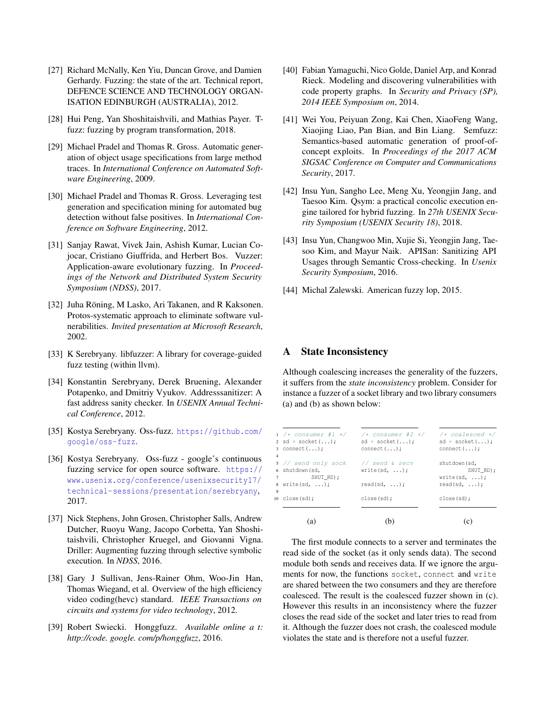- <span id="page-14-2"></span>[27] Richard McNally, Ken Yiu, Duncan Grove, and Damien Gerhardy. Fuzzing: the state of the art. Technical report, DEFENCE SCIENCE AND TECHNOLOGY ORGAN-ISATION EDINBURGH (AUSTRALIA), 2012.
- <span id="page-14-6"></span>[28] Hui Peng, Yan Shoshitaishvili, and Mathias Payer. Tfuzz: fuzzing by program transformation, 2018.
- <span id="page-14-12"></span>[29] Michael Pradel and Thomas R. Gross. Automatic generation of object usage specifications from large method traces. In *International Conference on Automated Software Engineering*, 2009.
- <span id="page-14-13"></span>[30] Michael Pradel and Thomas R. Gross. Leveraging test generation and specification mining for automated bug detection without false positives. In *International Conference on Software Engineering*, 2012.
- <span id="page-14-5"></span>[31] Sanjay Rawat, Vivek Jain, Ashish Kumar, Lucian Cojocar, Cristiano Giuffrida, and Herbert Bos. Vuzzer: Application-aware evolutionary fuzzing. In *Proceedings of the Network and Distributed System Security Symposium (NDSS)*, 2017.
- <span id="page-14-9"></span>[32] Juha Röning, M Lasko, Ari Takanen, and R Kaksonen. Protos-systematic approach to eliminate software vulnerabilities. *Invited presentation at Microsoft Research*, 2002.
- <span id="page-14-8"></span>[33] K Serebryany. libfuzzer: A library for coverage-guided fuzz testing (within llvm).
- <span id="page-14-17"></span>[34] Konstantin Serebryany, Derek Bruening, Alexander Potapenko, and Dmitriy Vyukov. Addresssanitizer: A fast address sanity checker. In *USENIX Annual Technical Conference*, 2012.
- <span id="page-14-0"></span>[35] Kostya Serebryany. Oss-fuzz. [https://github.com/](https://github.com/google/oss-fuzz) [google/oss-fuzz](https://github.com/google/oss-fuzz).
- <span id="page-14-1"></span>[36] Kostya Serebryany. Oss-fuzz - google's continuous fuzzing service for open source software. [https://](https://www.usenix.org/conference/usenixsecurity17/technical-sessions/presentation/serebryany) [www.usenix.org/conference/usenixsecurity17/](https://www.usenix.org/conference/usenixsecurity17/technical-sessions/presentation/serebryany) [technical-sessions/presentation/serebryany](https://www.usenix.org/conference/usenixsecurity17/technical-sessions/presentation/serebryany), 2017.
- <span id="page-14-4"></span>[37] Nick Stephens, John Grosen, Christopher Salls, Andrew Dutcher, Ruoyu Wang, Jacopo Corbetta, Yan Shoshitaishvili, Christopher Kruegel, and Giovanni Vigna. Driller: Augmenting fuzzing through selective symbolic execution. In *NDSS*, 2016.
- <span id="page-14-18"></span>[38] Gary J Sullivan, Jens-Rainer Ohm, Woo-Jin Han, Thomas Wiegand, et al. Overview of the high efficiency video coding(hevc) standard. *IEEE Transactions on circuits and systems for video technology*, 2012.
- <span id="page-14-10"></span>[39] Robert Swiecki. Honggfuzz. *Available online a t: http://code. google. com/p/honggfuzz*, 2016.
- <span id="page-14-15"></span>[40] Fabian Yamaguchi, Nico Golde, Daniel Arp, and Konrad Rieck. Modeling and discovering vulnerabilities with code property graphs. In *Security and Privacy (SP), 2014 IEEE Symposium on*, 2014.
- <span id="page-14-11"></span>[41] Wei You, Peiyuan Zong, Kai Chen, XiaoFeng Wang, Xiaojing Liao, Pan Bian, and Bin Liang. Semfuzz: Semantics-based automatic generation of proof-ofconcept exploits. In *Proceedings of the 2017 ACM SIGSAC Conference on Computer and Communications Security*, 2017.
- <span id="page-14-7"></span>[42] Insu Yun, Sangho Lee, Meng Xu, Yeongjin Jang, and Taesoo Kim. Qsym: a practical concolic execution engine tailored for hybrid fuzzing. In *27th USENIX Security Symposium (USENIX Security 18)*, 2018.
- <span id="page-14-14"></span>[43] Insu Yun, Changwoo Min, Xujie Si, Yeongjin Jang, Taesoo Kim, and Mayur Naik. APISan: Sanitizing API Usages through Semantic Cross-checking. In *Usenix Security Symposium*, 2016.
- <span id="page-14-3"></span>[44] Michal Zalewski. American fuzzy lop, 2015.

#### <span id="page-14-16"></span>A State Inconsistency

Although coalescing increases the generality of the fuzzers, it suffers from the *state inconsistency* problem. Consider for instance a fuzzer of a socket library and two library consumers (a) and (b) as shown below:

|                | 'a'                                                   |                                |                                        |
|----------------|-------------------------------------------------------|--------------------------------|----------------------------------------|
|                | $10 \text{ close}(sd);$                               | close(sd);                     | close(sd);                             |
| $\mathbf Q$    | $\frac{1}{2}$ write $\left(\text{sd}, \ldots\right)$  | $read(sd, \ldots);$            | $read(sd, \ldots);$                    |
|                | 7 SHUT RD);                                           |                                | $write(sd, \ldots);$                   |
|                | 6 shutdown (sd,                                       | write(sd, $\ldots$ );          | SHUT RD);                              |
| $\overline{4}$ | 5 // send only sock                                   | // send & recv                 | shutdown(sd,                           |
|                | 2 sd = socket $($ $)$ ;<br>$3$ connect $( \ldots )$ ; | $sd = socket())$<br>connect(); | $sd = socket();$<br>$connect(\ldots);$ |
|                |                                                       |                                |                                        |

The first module connects to a server and terminates the read side of the socket (as it only sends data). The second module both sends and receives data. If we ignore the arguments for now, the functions socket, connect and write are shared between the two consumers and they are therefore coalesced. The result is the coalesced fuzzer shown in (c). However this results in an inconsistency where the fuzzer closes the read side of the socket and later tries to read from it. Although the fuzzer does not crash, the coalesced module violates the state and is therefore not a useful fuzzer.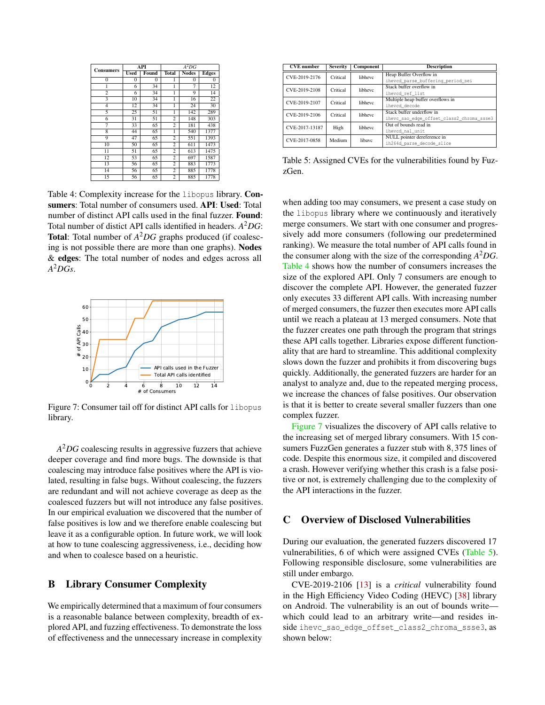<span id="page-15-2"></span>

| <b>Consumers</b> |             | API      | $A^2DG$        |              |              |  |  |  |  |
|------------------|-------------|----------|----------------|--------------|--------------|--|--|--|--|
|                  | <b>Used</b> | Found    | <b>Total</b>   | <b>Nodes</b> | <b>Edges</b> |  |  |  |  |
| $\mathbf{0}$     | $\theta$    | $\theta$ | 1              | $\theta$     | $\bf{0}$     |  |  |  |  |
| 1                | 6           | 34       | 1              | 7            | 12           |  |  |  |  |
| $\overline{2}$   | 6           | 34       | 1              | 9            | 14           |  |  |  |  |
| 3                | 10          | 34       | 1              | 16           | 22           |  |  |  |  |
| 4                | 12          | 34       | 1              | 24           | 30           |  |  |  |  |
| 5                | 25          | 51       | 1              | 142          | 289          |  |  |  |  |
| 6                | 31          | 51       | $\overline{c}$ | 148          | 303          |  |  |  |  |
| 7                | 33          | 65       | 2              | 181          | 438          |  |  |  |  |
| 8                | 44          | 65       | 1              | 540          | 1377         |  |  |  |  |
| 9                | 47          | 65       | $\overline{c}$ | 551          | 1393         |  |  |  |  |
| $\overline{10}$  | 50          | 65       | $\overline{2}$ | 611          | 1473         |  |  |  |  |
| 11               | 51          | 65       | $\overline{c}$ | 613          | 1475         |  |  |  |  |
| $\overline{12}$  | 53          | 65       | $\overline{2}$ | 697          | 1587         |  |  |  |  |
| 13               | 56          | 65       | $\overline{c}$ | 883          | 1773         |  |  |  |  |
| 14               | 56          | 65       | $\overline{2}$ | 885          | 1778         |  |  |  |  |
| 15               | 56          | 65       | $\overline{c}$ | 885          | 1778         |  |  |  |  |

Table 4: Complexity increase for the libopus library. Consumers: Total number of consumers used. API: Used: Total number of distinct API calls used in the final fuzzer. Found: Total number of distict API calls identified in headers. *A* <sup>2</sup>*DG*: Total: Total number of *A* <sup>2</sup>*DG* graphs produced (if coalescing is not possible there are more than one graphs). Nodes & edges: The total number of nodes and edges across all *A* <sup>2</sup>*DGs*.

<span id="page-15-3"></span>

Figure 7: Consumer tail off for distinct API calls for libopus library.

*A* <sup>2</sup>*DG* coalescing results in aggressive fuzzers that achieve deeper coverage and find more bugs. The downside is that coalescing may introduce false positives where the API is violated, resulting in false bugs. Without coalescing, the fuzzers are redundant and will not achieve coverage as deep as the coalesced fuzzers but will not introduce any false positives. In our empirical evaluation we discovered that the number of false positives is low and we therefore enable coalescing but leave it as a configurable option. In future work, we will look at how to tune coalescing aggressiveness, i.e., deciding how and when to coalesce based on a heuristic.

### <span id="page-15-1"></span>B Library Consumer Complexity

We empirically determined that a maximum of four consumers is a reasonable balance between complexity, breadth of explored API, and fuzzing effectiveness. To demonstrate the loss of effectiveness and the unnecessary increase in complexity

<span id="page-15-4"></span>

| <b>Severity</b> | Component                                                      | <b>Description</b>                                            |
|-----------------|----------------------------------------------------------------|---------------------------------------------------------------|
|                 |                                                                | Heap Buffer Overflow in                                       |
|                 |                                                                | iheved parse buffering period sei                             |
|                 |                                                                | Stack buffer overflow in                                      |
|                 |                                                                | iheved ref list                                               |
|                 |                                                                | Multiple heap buffer overflows in                             |
|                 |                                                                | ihevcd decode                                                 |
|                 |                                                                | Stack buffer underflow in                                     |
|                 |                                                                | ihevc sao edge offset class2 chroma ssse3                     |
|                 |                                                                | Out of bounds read in                                         |
|                 |                                                                | iheved nal unit                                               |
|                 |                                                                | NULL pointer dereference in                                   |
|                 |                                                                | ih264d parse decode slice                                     |
|                 | Critical<br>Critical<br>Critical<br>Critical<br>High<br>Medium | libhevc<br>libhevc<br>libhevc<br>libhevc<br>libhevc<br>libave |

Table 5: Assigned CVEs for the vulnerabilities found by FuzzGen.

when adding too may consumers, we present a case study on the libopus library where we continuously and iteratively merge consumers. We start with one consumer and progressively add more consumers (following our predetermined ranking). We measure the total number of API calls found in the consumer along with the size of the corresponding *A* <sup>2</sup>*DG*. [Table 4](#page-15-2) shows how the number of consumers increases the size of the explored API. Only 7 consumers are enough to discover the complete API. However, the generated fuzzer only executes 33 different API calls. With increasing number of merged consumers, the fuzzer then executes more API calls until we reach a plateau at 13 merged consumers. Note that the fuzzer creates one path through the program that strings these API calls together. Libraries expose different functionality that are hard to streamline. This additional complexity slows down the fuzzer and prohibits it from discovering bugs quickly. Additionally, the generated fuzzers are harder for an analyst to analyze and, due to the repeated merging process, we increase the chances of false positives. Our observation is that it is better to create several smaller fuzzers than one complex fuzzer.

[Figure 7](#page-15-3) visualizes the discovery of API calls relative to the increasing set of merged library consumers. With 15 consumers FuzzGen generates a fuzzer stub with 8,375 lines of code. Despite this enormous size, it compiled and discovered a crash. However verifying whether this crash is a false positive or not, is extremely challenging due to the complexity of the API interactions in the fuzzer.

### <span id="page-15-0"></span>C Overview of Disclosed Vulnerabilities

During our evaluation, the generated fuzzers discovered 17 vulnerabilities, 6 of which were assigned CVEs [\(Table 5\)](#page-15-4). Following responsible disclosure, some vulnerabilities are still under embargo.

CVE-2019-2106 [\[13\]](#page-13-10) is a *critical* vulnerability found in the High Efficiency Video Coding (HEVC) [\[38\]](#page-14-18) library on Android. The vulnerability is an out of bounds write which could lead to an arbitrary write—and resides inside ihevc\_sao\_edge\_offset\_class2\_chroma\_ssse3, as shown below: